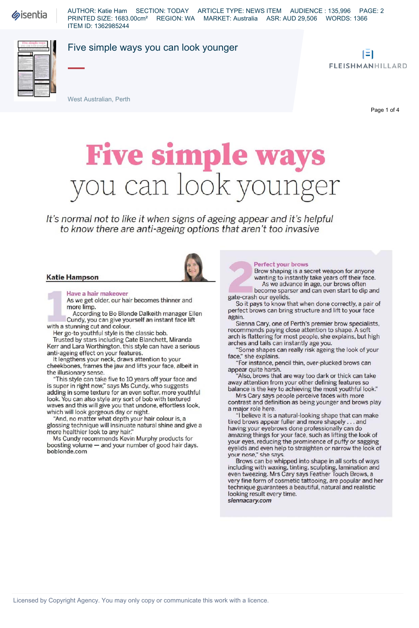**Sisentia** 

AUTHOR: Katie Ham SECTION: TODAY ARTICLE TYPE: NEWS ITEM AUDIENCE : 135,996 PAGE: 2 PRINTED SIZE: 1683.00cm² REGION: WA MARKET: Australia ASR: AUD 29,506 WORDS: 1366 ITEM ID: 1362985244



#### Five simple ways you can look younger

ı=ı **FLEISHMANHILLARD** 

West Australian, Perth

Page 1 of 4

# **Five simple ways** you can look younger

It's normal not to like it when signs of ageing appear and it's helpful to know there are anti-ageing options that aren't too invasive

#### **Katie Ham**

**Have a hair makeover**

As we get older, our hair becomes thinner and more limp.

According to Bo Blonde Dalkeith manager Ellen Cundy, you can give yourself an instant face lift with a stunning cut and colour.

Her go-to youthful style is the classic bob.

Trusted by stars including Gate Blanchett, Miranda Kerr and Lara Worthington, this style can have a serious anti-ageing effect on your features.

It lengthens your neck, draws attention to your cheekbones, frames the jaw and lifts your face, albeit in the illusionary sense.

"This style can take five to 10 years off your face and is super in right now," says Ms Cundy, who suggests adding in some texture for an even softer, more youthful look. You can also style any sort of bob with textured waves and this will give you that undone, effortless look, which will look gorgeous day or night.

"And, no matter what depth your hair colour is, a glossing technique will insinuate natural shine and give a more healthier look to any hair."

Ms Cundy recommends Kevin Murphy products for boosting volume — and your number of good hair days. boblonde.com

Perfect your<br>Brow shaping<br>wanting to in<br>As we adv.<br>become spare<br>gate-crash our eyelids.

**Perfect your brows** Brow shaping is a secret weapon for anyone wanting to instantly take years off their face.

As we advance in age, our brows often become sparser and can even start to dip and

So it pays to know that when done correctly, a pair of perfect brows can bring structure and lift to your face

again. Sienna Cary, one of Perth's premier brow specialists, recommends paying close attention to shape. A soft arch is flattering for most people, she explains, but high arches and tails can instantly age you.

"Some shapes can really risk ageing the look of your face," she explains.

"For instance, pencil thin, over-plucked brows can appear quite harsh.

"Also, brows that are way too dark or thick can take away attention from your other defining features so balance is the key to achieving the most youthful look."

Mrs Cary says people perceive faces with more contrast and definition as being younger and brows play a major role here.

I believe it is a natural-looking shape that can make tired brows appear fuller and more shapely... and having your eyebrows done professionally can do amazing things for your face, such as lifting the look of your eyes, reducing the prominence of puffy or sagging eyelids and even help to straighten or narrow the look of your nose," she says.

Brows can be whipped into shape in all sorts of ways including with waxing, tinting, sculpting, lamination and even tweezing. Mrs Cary says Feather Touch Brows, a very fine form of cosmetic tattooing, are popular and her technique guarantees a beautiful, natural and realistic looking result every time. siennacary.com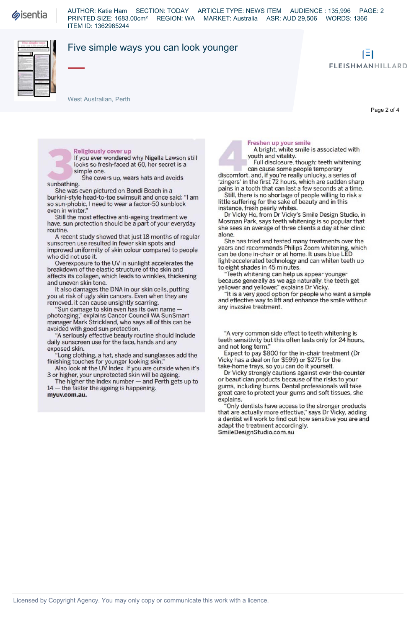## *<u>isentia</u>*

AUTHOR: Katie Ham SECTION: TODAY ARTICLE TYPE: NEWS ITEM AUDIENCE : 135,996 PAGE: 2 PRINTED SIZE: 1683.00cm² REGION: WA MARKET: Australia ASR: AUD 29,506 WORDS: 1366 ITEM ID: 1362985244



### Five simple ways you can look younger

ı=ı **FLEISHMANHILLARD** 

West Australian, Perth

Page 2 of 4

**Religiously cover up**

**If** you ever wondered why Nigella Lawson still looks so fresh-faced at 60, her secret is a simple one.

She covers up, wears hats and avoids

sunbathing. She was even pictured on Bondi Beach in a burkini-style head-to-toe swimsuit and once said: "I am so sun-phobic, I need to wear a factor-50 sunblock even in winter."

Still the most effective anti-ageing treatment we have, sun protection should be a part of your everyday routine.

A recent study showed that just IS months of regular sunscreen use resulted in fewer skin spots and improved uniformity of skin colour compared to people who did not use it.

Overexposure to the UV in sunlight accelerates the breakdown of the elastic structure of the skin and affects its collagen, which leads to wrinkles, thickening and uneven skin tone.

It also damages the DNA in our skin cells, putting you at risk of ugly skin cancers. Even when they are removed, it can cause unsightly scarring.

"Sun damage to skin even has its own name photoaging," explains Cancer Council WA SunSmart manager Mark Strickland, who says all of this can be avoided with good sun protection.

"A seriously effective beauty routine should include daily sunscreen use for the face, hands and any exposed skin.

"Long clothing, a hat, shade and sunglasses add the finishing touches for younger looking skin."

Also look at the UV Index. If you are outside when it's 3 or higher, your unprotected skin will be ageing.

The higher the index number — and Perth gets up to 14 — the faster the ageing is happening. **myuv.com.au.**



**Freshen up your smile** A bright, white smile is associated with youth and vitality.

Full disclosure, though: teeth whitening can cause some people temporary

discomfort, and, if you're really unlucky, a series of 'zingers' in the first 72 hours, which are sudden sharp pains in a tooth that can last a few seconds at a time. Still, there is no shortage of people willing to risk a

little suffering for the sake of beauty and in this instance, fresh pearly whites.

Dr Vicky Ho, from Dr Vicky's Smile Design Studio, in Mosman Park, says teeth whitening is so popular that she sees an average of three clients a day at her clinic alone.

She has tried and tested many treatments over the years and recommends Philips Zoom whitening, which can be done in-chair or at home. It uses blue LED light-accelerated technology and can whiten teeth up to eight shades in 45 minutes.

"Teeth whitening can help us appear younger because generally as we age naturally, the teeth get yellower and yellower," explains Dr Vicky.

"It is a very good option for people who want a simple and effective way to lift and enhance the smile without any invasive treatment.

"A very common side effect to teeth whitening is teeth sensitivity but this often lasts only for 24 hours, and not long term."

Expect to pay \$800 for the in-chair treatment (Dr Vicky has a deal on for \$599) or \$275 for the take-home trays, so you can do it yourself.

Dr Vicky strongly cautions against over-the-counter or beautician products because of the risks to your gums, including burns. Dental professionals will take great care to protect your gums and soft tissues, she explains.

Only dentists have access to the stronger products that are actually more effective," says Dr Vicky, adding a dentist will work to find out how sensitive you are and adapt the treatment accordingly. SmileDesignStudio.com.au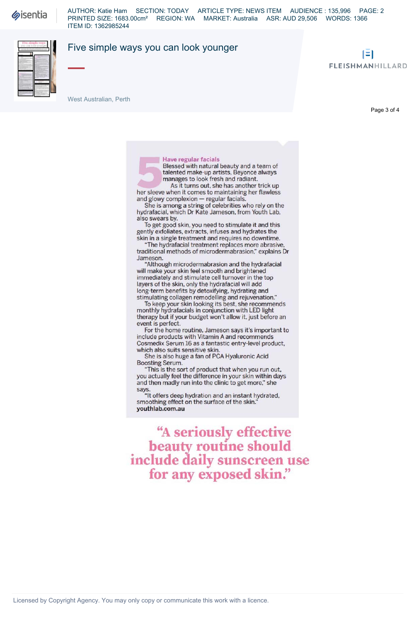## **Sisentia**

AUTHOR: Katie Ham SECTION: TODAY ARTICLE TYPE: NEWS ITEM AUDIENCE : 135,996 PAGE: 2 PRINTED SIZE: 1683.00cm² REGION: WA MARKET: Australia ASR: AUD 29,506 WORDS: 1366 ITEM ID: 1362985244



#### Five simple ways you can look younger

ı=ı **FLEISHMANHILLARD** 

West Australian, Perth

Page 3 of 4

Have regular facials

Have regular facials<br>Blessed with natural beauty and a team of<br>talented make-up artists, Beyonce always<br>manages to look fresh and radiant.<br>As it turns out, she has another trick up<br>her sleeve when it comes to maintaining h Blessed with natural beauty and a team of talented make-up artists, Beyonce always manages to look fresh and radiant.

As it turns out, she has another trick up and glowy complexion — regular facials.

She is among a string of celebrities who rely on the hydrafacial, which Dr Kate Jameson, from Youth Lab, also swears by.

To get good skin, you need to stimulate it and this gently exfoliates, extracts, infuses and hydrates the skin in a single treatment and requires no downtime.

"The hydrafacial treatment replaces more abrasive, traditional methods of microdermabrasion," explains Dr Jameson.

"Although microdermabrasion and the hydrafacial will make your skin feel smooth and brightened immediately and stimulate cell turnover in the top layers of the skin, only the hydrafacial will add long-term benefits by detoxifying, hydrating and stimulating collagen remodelling and rejuvenation."

To keep your skin looking its best, she recommends monthly hydrafacials in conjunction with LED light therapy but if your budget won't allow it, just before an event is perfect.

For the home routine, Jameson says it's important to include products with Vitamin A and recommends Cosmedix Serum 16 as a fantastic entry-level product, which also suits sensitive skin.

She is also huge a fan of PCA Hyaluronic Acid Boosting Serum.

"This is the sort of product that when you run out, you actually feel the difference in your skin within days and then madly run into the clinic to get more," she says.

"It offers deep hydration and an instant hydrated. smoothing effect on the surface of the skin. youthlab.com.au

"A seriously effective beauty routine should include daily sunscreen use for any exposed skin."